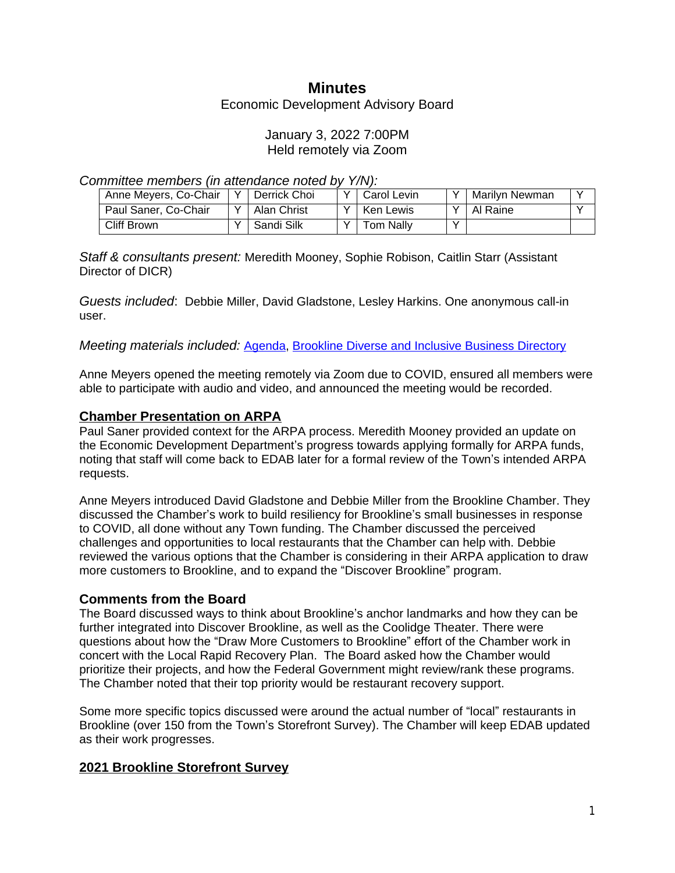# **Minutes**

Economic Development Advisory Board

### January 3, 2022 7:00PM Held remotely via Zoom

*Committee members (in attendance noted by Y/N):*

| Anne Meyers, Co-Chair | $\mathbf{v}$ | َ ∣ Derrick Choi | Carol Levin | $\checkmark$ | Marilyn Newman |  |
|-----------------------|--------------|------------------|-------------|--------------|----------------|--|
| Paul Saner, Co-Chair  |              | Alan Christ      | Ken Lewis   | $\checkmark$ | 'Al Raine      |  |
| Cliff Brown           |              | Sandi Silk       | Tom Nally   | $\sqrt{}$    |                |  |

*Staff & consultants present:* Meredith Mooney, Sophie Robison, Caitlin Starr (Assistant Director of DICR)

*Guests included*: Debbie Miller, David Gladstone, Lesley Harkins. One anonymous call-in user.

*Meeting materials included:* [Agenda,](https://www.brooklinema.gov/DocumentCenter/View/28532/EDAB-Agenda-1322) [Brookline Diverse and Inclusive Business Directory](https://www.brooklinema.gov/1981/Diverse-and-Inclusive-Business-Directory)

Anne Meyers opened the meeting remotely via Zoom due to COVID, ensured all members were able to participate with audio and video, and announced the meeting would be recorded.

### **Chamber Presentation on ARPA**

Paul Saner provided context for the ARPA process. Meredith Mooney provided an update on the Economic Development Department's progress towards applying formally for ARPA funds, noting that staff will come back to EDAB later for a formal review of the Town's intended ARPA requests.

Anne Meyers introduced David Gladstone and Debbie Miller from the Brookline Chamber. They discussed the Chamber's work to build resiliency for Brookline's small businesses in response to COVID, all done without any Town funding. The Chamber discussed the perceived challenges and opportunities to local restaurants that the Chamber can help with. Debbie reviewed the various options that the Chamber is considering in their ARPA application to draw more customers to Brookline, and to expand the "Discover Brookline" program.

#### **Comments from the Board**

The Board discussed ways to think about Brookline's anchor landmarks and how they can be further integrated into Discover Brookline, as well as the Coolidge Theater. There were questions about how the "Draw More Customers to Brookline" effort of the Chamber work in concert with the Local Rapid Recovery Plan. The Board asked how the Chamber would prioritize their projects, and how the Federal Government might review/rank these programs. The Chamber noted that their top priority would be restaurant recovery support.

Some more specific topics discussed were around the actual number of "local" restaurants in Brookline (over 150 from the Town's Storefront Survey). The Chamber will keep EDAB updated as their work progresses.

## **2021 Brookline Storefront Survey**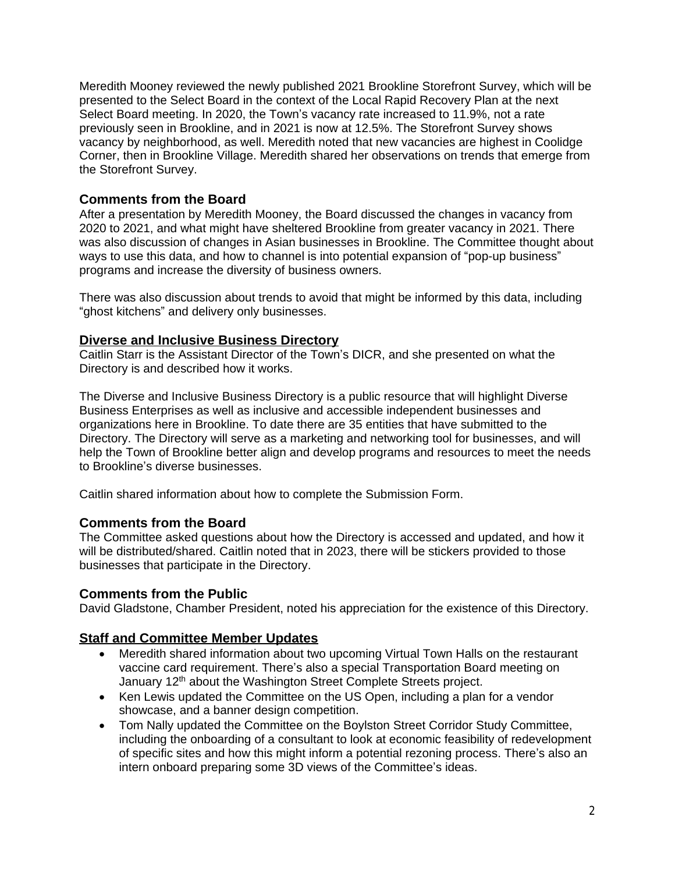Meredith Mooney reviewed the newly published 2021 Brookline Storefront Survey, which will be presented to the Select Board in the context of the Local Rapid Recovery Plan at the next Select Board meeting. In 2020, the Town's vacancy rate increased to 11.9%, not a rate previously seen in Brookline, and in 2021 is now at 12.5%. The Storefront Survey shows vacancy by neighborhood, as well. Meredith noted that new vacancies are highest in Coolidge Corner, then in Brookline Village. Meredith shared her observations on trends that emerge from the Storefront Survey.

# **Comments from the Board**

After a presentation by Meredith Mooney, the Board discussed the changes in vacancy from 2020 to 2021, and what might have sheltered Brookline from greater vacancy in 2021. There was also discussion of changes in Asian businesses in Brookline. The Committee thought about ways to use this data, and how to channel is into potential expansion of "pop-up business" programs and increase the diversity of business owners.

There was also discussion about trends to avoid that might be informed by this data, including "ghost kitchens" and delivery only businesses.

## **Diverse and Inclusive Business Directory**

Caitlin Starr is the Assistant Director of the Town's DICR, and she presented on what the Directory is and described how it works.

The Diverse and Inclusive Business Directory is a public resource that will highlight Diverse Business Enterprises as well as inclusive and accessible independent businesses and organizations here in Brookline. To date there are 35 entities that have submitted to the Directory. The Directory will serve as a marketing and networking tool for businesses, and will help the Town of Brookline better align and develop programs and resources to meet the needs to Brookline's diverse businesses.

Caitlin shared information about how to complete the Submission Form.

## **Comments from the Board**

The Committee asked questions about how the Directory is accessed and updated, and how it will be distributed/shared. Caitlin noted that in 2023, there will be stickers provided to those businesses that participate in the Directory.

#### **Comments from the Public**

David Gladstone, Chamber President, noted his appreciation for the existence of this Directory.

#### **Staff and Committee Member Updates**

- Meredith shared information about two upcoming Virtual Town Halls on the restaurant vaccine card requirement. There's also a special Transportation Board meeting on January 12<sup>th</sup> about the Washington Street Complete Streets project.
- Ken Lewis updated the Committee on the US Open, including a plan for a vendor showcase, and a banner design competition.
- Tom Nally updated the Committee on the Boylston Street Corridor Study Committee, including the onboarding of a consultant to look at economic feasibility of redevelopment of specific sites and how this might inform a potential rezoning process. There's also an intern onboard preparing some 3D views of the Committee's ideas.